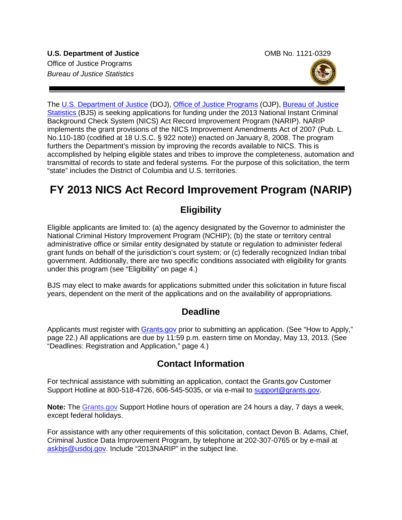

The [U.S. Department of Justice](http://www.usdoj.gov/) (DOJ), [Office of Justice Programs](http://www.ojp.usdoj.gov/) (OJP), Bureau of Justice [Statistics \(BJS\)](http://www.bjs.gov/) is seeking applications for funding under the 2013 National Instant Criminal Background Check System (NICS) Act Record Improvement Program (NARIP). NARIP implements the grant provisions of the NICS Improvement Amendments Act of 2007 (Pub. L. No.110-180 (codified at 18 U.S.C. § 922 note)) enacted on January 8, 2008. The program furthers the Department's mission by improving the records available to NICS. This is accomplished by helping eligible states and tribes to improve the completeness, automation and transmittal of records to state and federal systems. For the purpose of this solicitation, the term "state" includes the District of Columbia and U.S. territories.

# **FY 2013 NICS Act Record Improvement Program (NARIP)**

# **Eligibility**

Eligible applicants are limited to: (a) the agency designated by the Governor to administer the National Criminal History Improvement Program (NCHIP); (b) the state or territory central administrative office or similar entity designated by statute or regulation to administer federal grant funds on behalf of the jurisdiction's court system; or (c) federally recognized Indian tribal government. Additionally, there are two specific conditions associated with eligibility for grants under this program (see "Eligibility" on page 4.)

BJS may elect to make awards for applications submitted under this solicitation in future fiscal years, dependent on the merit of the applications and on the availability of appropriations.

# **Deadline**

Applicants must register with [Grants.gov](http://www.grants.gov/applicants/apply_for_grants.jsp) prior to submitting an application. (See "How to Apply," page 22.) All applications are due by 11:59 p.m. eastern time on Monday, May 13, 2013. (See "Deadlines: Registration and Application," page 4*.*)

# **Contact Information**

For technical assistance with submitting an application, contact the Grants.gov Customer Support Hotline at 800-518-4726, 606-545-5035, or via e-mail to [support@grants.gov](mailto:support@grants.gov).

**Note:** The [Grants.gov](http://www.grants.gov/applicants/apply_for_grants.jsp) Support Hotline hours of operation are 24 hours a day, 7 days a week, except federal holidays.

For assistance with any other requirements of this solicitation, contact Devon B. Adams, Chief, Criminal Justice Data Improvement Program, by telephone at 202-307-0765 or by e-mail at [askbjs@usdoj.gov.](mailto:askbjs@usdoj.gov?subject=2013NARIP) Include "2013NARIP" in the subject line.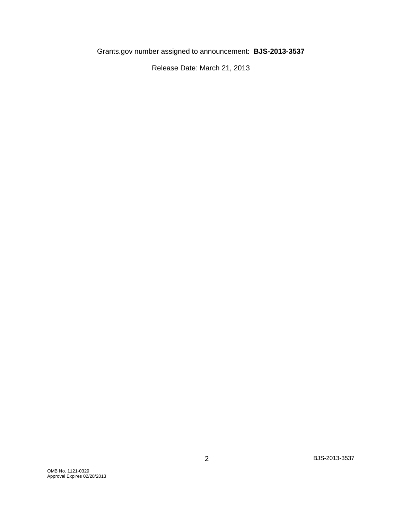Grants.gov number assigned to announcement: **BJS-2013-3537**

Release Date: March 21, 2013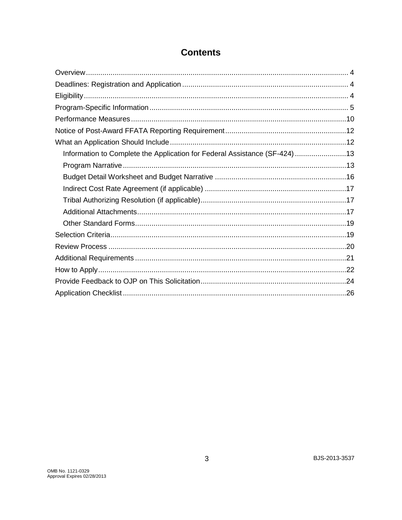| Information to Complete the Application for Federal Assistance (SF-424)13 |  |
|---------------------------------------------------------------------------|--|
|                                                                           |  |
|                                                                           |  |
|                                                                           |  |
|                                                                           |  |
|                                                                           |  |
|                                                                           |  |
|                                                                           |  |
|                                                                           |  |
|                                                                           |  |
|                                                                           |  |
|                                                                           |  |
|                                                                           |  |

# **Contents**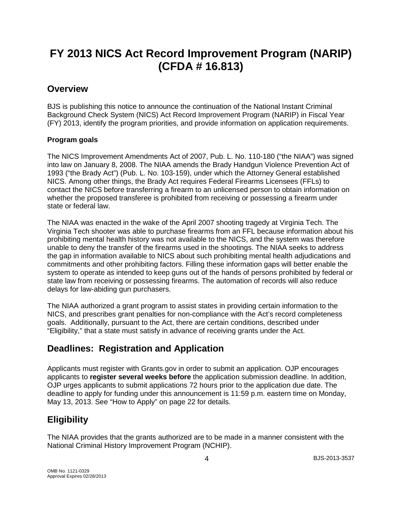# **FY 2013 NICS Act Record Improvement Program (NARIP) (CFDA # 16.813)**

## **Overview**

BJS is publishing this notice to announce the continuation of the National Instant Criminal Background Check System (NICS) Act Record Improvement Program (NARIP) in Fiscal Year (FY) 2013, identify the program priorities, and provide information on application requirements.

### **Program goals**

The NICS Improvement Amendments Act of 2007, Pub. L. No. 110-180 ("the NIAA") was signed into law on January 8, 2008. The NIAA amends the Brady Handgun Violence Prevention Act of 1993 ("the Brady Act") (Pub. L. No. 103-159), under which the Attorney General established NICS. Among other things, the Brady Act requires Federal Firearms Licensees (FFLs) to contact the NICS before transferring a firearm to an unlicensed person to obtain information on whether the proposed transferee is prohibited from receiving or possessing a firearm under state or federal law.

The NIAA was enacted in the wake of the April 2007 shooting tragedy at Virginia Tech. The Virginia Tech shooter was able to purchase firearms from an FFL because information about his prohibiting mental health history was not available to the NICS, and the system was therefore unable to deny the transfer of the firearms used in the shootings. The NIAA seeks to address the gap in information available to NICS about such prohibiting mental health adjudications and commitments and other prohibiting factors. Filling these information gaps will better enable the system to operate as intended to keep guns out of the hands of persons prohibited by federal or state law from receiving or possessing firearms. The automation of records will also reduce delays for law-abiding gun purchasers.

The NIAA authorized a grant program to assist states in providing certain information to the NICS, and prescribes grant penalties for non-compliance with the Act's record completeness goals. Additionally, pursuant to the Act, there are certain conditions, described under "Eligibility," that a state must satisfy in advance of receiving grants under the Act.

# **Deadlines: Registration and Application**

Applicants must register with Grants.gov in order to submit an application. OJP encourages applicants to **register several weeks before** the application submission deadline. In addition, OJP urges applicants to submit applications 72 hours prior to the application due date. The deadline to apply for funding under this announcement is 11:59 p.m. eastern time on Monday, May 13, 2013. See "How to Apply" on page 22 for details.

# **Eligibility**

The NIAA provides that the grants authorized are to be made in a manner consistent with the National Criminal History Improvement Program (NCHIP).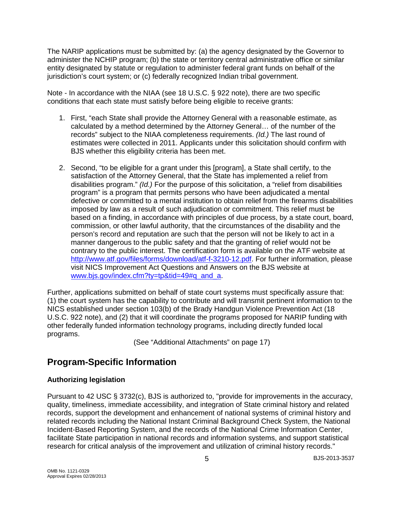The NARIP applications must be submitted by: (a) the agency designated by the Governor to administer the NCHIP program; (b) the state or territory central administrative office or similar entity designated by statute or regulation to administer federal grant funds on behalf of the jurisdiction's court system; or (c) federally recognized Indian tribal government.

Note - In accordance with the NIAA (see 18 U.S.C. § 922 note), there are two specific conditions that each state must satisfy before being eligible to receive grants:

- 1. First, "each State shall provide the Attorney General with a reasonable estimate, as calculated by a method determined by the Attorney General… of the number of the records" subject to the NIAA completeness requirements. *(Id.)* The last round of estimates were collected in 2011. Applicants under this solicitation should confirm with BJS whether this eligibility criteria has been met.
- 2. Second, "to be eligible for a grant under this [program], a State shall certify, to the satisfaction of the Attorney General, that the State has implemented a relief from disabilities program." *(Id.)* For the purpose of this solicitation, a "relief from disabilities program" is a program that permits persons who have been adjudicated a mental defective or committed to a mental institution to obtain relief from the firearms disabilities imposed by law as a result of such adjudication or commitment. This relief must be based on a finding, in accordance with principles of due process, by a state court, board, commission, or other lawful authority, that the circumstances of the disability and the person's record and reputation are such that the person will not be likely to act in a manner dangerous to the public safety and that the granting of relief would not be contrary to the public interest. The certification form is available on the ATF website at [http://www.atf.gov/files/forms/download/atf-f-3210-12.pdf.](http://www.atf.gov/files/forms/download/atf-f-3210-12.pdf) For further information, please visit NICS Improvement Act Questions and Answers on the BJS website at [www.bjs.gov/index.cfm?ty=tp&tid=49#q\\_and\\_a.](http://www.bjs.gov/index.cfm?ty=tp&tid=49#q_and_a)

Further, applications submitted on behalf of state court systems must specifically assure that: (1) the court system has the capability to contribute and will transmit pertinent information to the NICS established under section 103(b) of the Brady Handgun Violence Prevention Act (18 U.S.C. 922 note), and (2) that it will coordinate the programs proposed for NARIP funding with other federally funded information technology programs, including directly funded local programs.

(See "Additional Attachments" on page 17)

# **Program-Specific Information**

### **Authorizing legislation**

Pursuant to 42 USC § 3732(c), BJS is authorized to, "provide for improvements in the accuracy, quality, timeliness, immediate accessibility, and integration of State criminal history and related records, support the development and enhancement of national systems of criminal history and related records including the National Instant Criminal Background Check System, the National Incident-Based Reporting System, and the records of the National Crime Information Center, facilitate State participation in national records and information systems, and support statistical research for critical analysis of the improvement and utilization of criminal history records."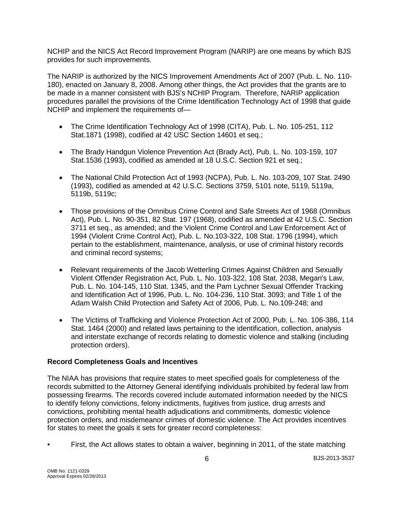NCHIP and the NICS Act Record Improvement Program (NARIP) are one means by which BJS provides for such improvements.

The NARIP is authorized by the NICS Improvement Amendments Act of 2007 (Pub. L. No. 110- 180), enacted on January 8, 2008. Among other things, the Act provides that the grants are to be made in a manner consistent with BJS's NCHIP Program. Therefore, NARIP application procedures parallel the provisions of the Crime Identification Technology Act of 1998 that guide NCHIP and implement the requirements of—

- The Crime Identification Technology Act of 1998 (CITA), Pub. L. No. 105-251, 112 Stat.1871 (1998), codified at 42 USC Section 14601 et seq.;
- The Brady Handgun Violence Prevention Act (Brady Act), Pub. L. No. 103-159, 107 Stat.1536 (1993), codified as amended at 18 U.S.C. Section 921 et seq.;
- The National Child Protection Act of 1993 (NCPA), Pub. L. No. 103-209, 107 Stat. 2490 (1993), codified as amended at 42 U.S.C. Sections 3759, 5101 note, 5119, 5119a, 5119b, 5119c;
- Those provisions of the Omnibus Crime Control and Safe Streets Act of 1968 (Omnibus Act), Pub. L. No. 90-351, 82 Stat. 197 (1968), codified as amended at 42 U.S.C. Section 3711 et seq., as amended; and the Violent Crime Control and Law Enforcement Act of 1994 (Violent Crime Control Act), Pub. L. No.103-322, 108 Stat. 1796 (1994), which pertain to the establishment, maintenance, analysis, or use of criminal history records and criminal record systems;
- Relevant requirements of the Jacob Wetterling Crimes Against Children and Sexually Violent Offender Registration Act, Pub. L. No. 103-322, 108 Stat. 2038, Megan's Law, Pub. L. No. 104-145, 110 Stat. 1345, and the Pam Lychner Sexual Offender Tracking and Identification Act of 1996, Pub. L. No. 104-236, 110 Stat. 3093; and Title 1 of the Adam Walsh Child Protection and Safety Act of 2006, Pub. L. No.109-248; and
- The Victims of Trafficking and Violence Protection Act of 2000, Pub. L. No. 106-386, 114 Stat. 1464 (2000) and related laws pertaining to the identification, collection, analysis and interstate exchange of records relating to domestic violence and stalking (including protection orders).

#### **Record Completeness Goals and Incentives**

The NIAA has provisions that require states to meet specified goals for completeness of the records submitted to the Attorney General identifying individuals prohibited by federal law from possessing firearms. The records covered include automated information needed by the NICS to identify felony convictions, felony indictments, fugitives from justice, drug arrests and convictions, prohibiting mental health adjudications and commitments, domestic violence protection orders, and misdemeanor crimes of domestic violence. The Act provides incentives for states to meet the goals it sets for greater record completeness:

• First, the Act allows states to obtain a waiver, beginning in 2011, of the state matching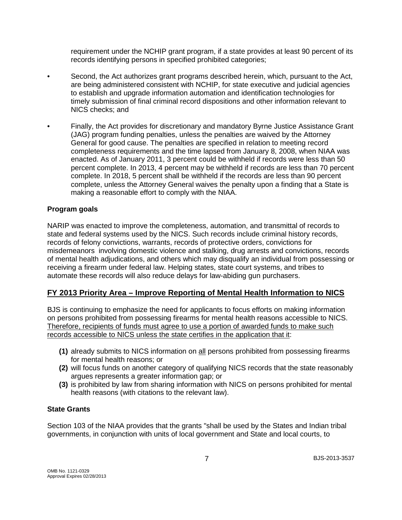requirement under the NCHIP grant program, if a state provides at least 90 percent of its records identifying persons in specified prohibited categories;

- Second, the Act authorizes grant programs described herein, which, pursuant to the Act, are being administered consistent with NCHIP, for state executive and judicial agencies to establish and upgrade information automation and identification technologies for timely submission of final criminal record dispositions and other information relevant to NICS checks; and
- Finally, the Act provides for discretionary and mandatory Byrne Justice Assistance Grant (JAG) program funding penalties, unless the penalties are waived by the Attorney General for good cause. The penalties are specified in relation to meeting record completeness requirements and the time lapsed from January 8, 2008, when NIAA was enacted. As of January 2011, 3 percent could be withheld if records were less than 50 percent complete. In 2013, 4 percent may be withheld if records are less than 70 percent complete. In 2018, 5 percent shall be withheld if the records are less than 90 percent complete, unless the Attorney General waives the penalty upon a finding that a State is making a reasonable effort to comply with the NIAA.

#### **Program goals**

NARIP was enacted to improve the completeness, automation, and transmittal of records to state and federal systems used by the NICS. Such records include criminal history records, records of felony convictions, warrants, records of protective orders, convictions for misdemeanors involving domestic violence and stalking, drug arrests and convictions, records of mental health adjudications, and others which may disqualify an individual from possessing or receiving a firearm under federal law. Helping states, state court systems, and tribes to automate these records will also reduce delays for law-abiding gun purchasers.

### **FY 2013 Priority Area – Improve Reporting of Mental Health Information to NICS**

BJS is continuing to emphasize the need for applicants to focus efforts on making information on persons prohibited from possessing firearms for mental health reasons accessible to NICS. Therefore, recipients of funds must agree to use a portion of awarded funds to make such records accessible to NICS unless the state certifies in the application that it:

- **(1)** already submits to NICS information on all persons prohibited from possessing firearms for mental health reasons; or
- **(2)** will focus funds on another category of qualifying NICS records that the state reasonably argues represents a greater information gap; or
- **(3)** is prohibited by law from sharing information with NICS on persons prohibited for mental health reasons (with citations to the relevant law).

#### **State Grants**

Section 103 of the NIAA provides that the grants "shall be used by the States and Indian tribal governments, in conjunction with units of local government and State and local courts, to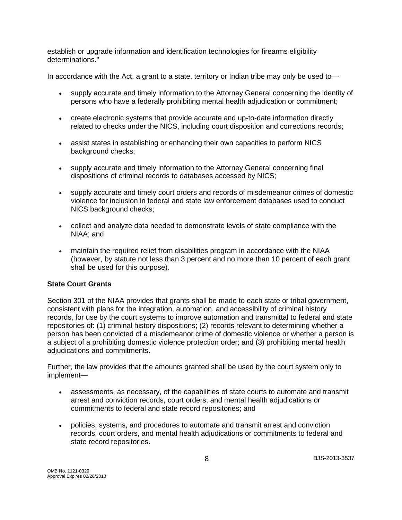establish or upgrade information and identification technologies for firearms eligibility determinations."

In accordance with the Act, a grant to a state, territory or Indian tribe may only be used to—

- supply accurate and timely information to the Attorney General concerning the identity of persons who have a federally prohibiting mental health adjudication or commitment;
- create electronic systems that provide accurate and up-to-date information directly related to checks under the NICS, including court disposition and corrections records;
- assist states in establishing or enhancing their own capacities to perform NICS background checks;
- supply accurate and timely information to the Attorney General concerning final dispositions of criminal records to databases accessed by NICS;
- supply accurate and timely court orders and records of misdemeanor crimes of domestic violence for inclusion in federal and state law enforcement databases used to conduct NICS background checks;
- collect and analyze data needed to demonstrate levels of state compliance with the NIAA; and
- maintain the required relief from disabilities program in accordance with the NIAA (however, by statute not less than 3 percent and no more than 10 percent of each grant shall be used for this purpose).

### **State Court Grants**

Section 301 of the NIAA provides that grants shall be made to each state or tribal government, consistent with plans for the integration, automation, and accessibility of criminal history records, for use by the court systems to improve automation and transmittal to federal and state repositories of: (1) criminal history dispositions; (2) records relevant to determining whether a person has been convicted of a misdemeanor crime of domestic violence or whether a person is a subject of a prohibiting domestic violence protection order; and (3) prohibiting mental health adjudications and commitments.

Further, the law provides that the amounts granted shall be used by the court system only to implement—

- assessments, as necessary, of the capabilities of state courts to automate and transmit arrest and conviction records, court orders, and mental health adjudications or commitments to federal and state record repositories; and
- policies, systems, and procedures to automate and transmit arrest and conviction records, court orders, and mental health adjudications or commitments to federal and state record repositories.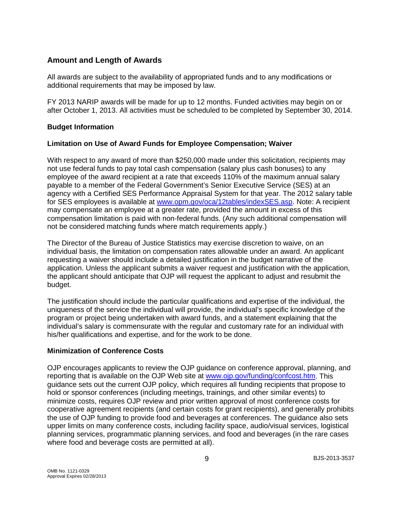### **Amount and Length of Awards**

All awards are subject to the availability of appropriated funds and to any modifications or additional requirements that may be imposed by law.

FY 2013 NARIP awards will be made for up to 12 months. Funded activities may begin on or after October 1, 2013. All activities must be scheduled to be completed by September 30, 2014.

#### **Budget Information**

#### **Limitation on Use of Award Funds for Employee Compensation; Waiver**

With respect to any award of more than \$250,000 made under this solicitation, recipients may not use federal funds to pay total cash compensation (salary plus cash bonuses) to any employee of the award recipient at a rate that exceeds 110% of the maximum annual salary payable to a member of the Federal Government's Senior Executive Service (SES) at an agency with a Certified SES Performance Appraisal System for that year. The 2012 salary table for SES employees is available at [www.opm.gov/oca/12tables/indexSES.asp.](http://www.opm.gov/oca/12tables/indexSES.asp) Note: A recipient may compensate an employee at a greater rate, provided the amount in excess of this compensation limitation is paid with non-federal funds. (Any such additional compensation will not be considered matching funds where match requirements apply.)

The Director of the Bureau of Justice Statistics may exercise discretion to waive, on an individual basis, the limitation on compensation rates allowable under an award. An applicant requesting a waiver should include a detailed justification in the budget narrative of the application. Unless the applicant submits a waiver request and justification with the application, the applicant should anticipate that OJP will request the applicant to adjust and resubmit the budget.

The justification should include the particular qualifications and expertise of the individual, the uniqueness of the service the individual will provide, the individual's specific knowledge of the program or project being undertaken with award funds, and a statement explaining that the individual's salary is commensurate with the regular and customary rate for an individual with his/her qualifications and expertise, and for the work to be done.

#### **Minimization of Conference Costs**

OJP encourages applicants to review the OJP guidance on conference approval, planning, and reporting that is available on the OJP Web site at [www.ojp.gov/funding/confcost.htm.](http://www.ojp.gov/funding/confcost.htm) This guidance sets out the current OJP policy, which requires all funding recipients that propose to hold or sponsor conferences (including meetings, trainings, and other similar events) to minimize costs, requires OJP review and prior written approval of most conference costs for cooperative agreement recipients (and certain costs for grant recipients), and generally prohibits the use of OJP funding to provide food and beverages at conferences. The guidance also sets upper limits on many conference costs, including facility space, audio/visual services, logistical planning services, programmatic planning services, and food and beverages (in the rare cases where food and beverage costs are permitted at all).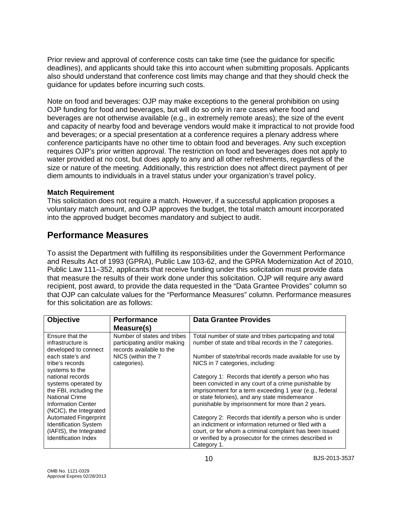Prior review and approval of conference costs can take time (see the guidance for specific deadlines), and applicants should take this into account when submitting proposals. Applicants also should understand that conference cost limits may change and that they should check the guidance for updates before incurring such costs.

Note on food and beverages: OJP may make exceptions to the general prohibition on using OJP funding for food and beverages, but will do so only in rare cases where food and beverages are not otherwise available (e.g., in extremely remote areas); the size of the event and capacity of nearby food and beverage vendors would make it impractical to not provide food and beverages; or a special presentation at a conference requires a plenary address where conference participants have no other time to obtain food and beverages. Any such exception requires OJP's prior written approval. The restriction on food and beverages does not apply to water provided at no cost, but does apply to any and all other refreshments, regardless of the size or nature of the meeting. Additionally, this restriction does not affect direct payment of per diem amounts to individuals in a travel status under your organization's travel policy.

#### **Match Requirement**

This solicitation does not require a match. However, if a successful application proposes a voluntary match amount, and OJP approves the budget, the total match amount incorporated into the approved budget becomes mandatory and subject to audit.

# **Performance Measures**

To assist the Department with fulfilling its responsibilities under the Government Performance and Results Act of 1993 (GPRA), Public Law 103-62, and the GPRA Modernization Act of 2010, Public Law 111–352, applicants that receive funding under this solicitation must provide data that measure the results of their work done under this solicitation. OJP will require any award recipient, post award, to provide the data requested in the "Data Grantee Provides" column so that OJP can calculate values for the "Performance Measures" column. Performance measures for this solicitation are as follows:

| <b>Objective</b>             | <b>Performance</b>          | <b>Data Grantee Provides</b>                             |
|------------------------------|-----------------------------|----------------------------------------------------------|
|                              | Measure(s)                  |                                                          |
| Ensure that the              | Number of states and tribes | Total number of state and tribes participating and total |
| infrastructure is            | participating and/or making | number of state and tribal records in the 7 categories.  |
| developed to connect         | records available to the    |                                                          |
| each state's and             | NICS (within the 7          | Number of state/tribal records made available for use by |
| tribe's records              | categories).                | NICS in 7 categories, including:                         |
| systems to the               |                             |                                                          |
| national records             |                             | Category 1: Records that identify a person who has       |
| systems operated by          |                             | been convicted in any court of a crime punishable by     |
| the FBI, including the       |                             | imprisonment for a term exceeding 1 year (e.g., federal  |
| <b>National Crime</b>        |                             | or state felonies), and any state misdemeanor            |
| <b>Information Center</b>    |                             | punishable by imprisonment for more than 2 years.        |
| (NCIC), the Integrated       |                             |                                                          |
| <b>Automated Fingerprint</b> |                             | Category 2: Records that identify a person who is under  |
| <b>Identification System</b> |                             | an indictment or information returned or filed with a    |
| (IAFIS), the Integrated      |                             | court, or for whom a criminal complaint has been issued  |
| Identification Index         |                             | or verified by a prosecutor for the crimes described in  |
|                              |                             | Category 1.                                              |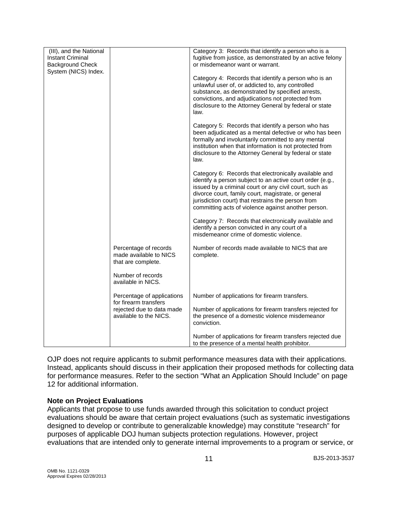| (III), and the National<br><b>Instant Criminal</b><br><b>Background Check</b><br>System (NICS) Index. |                                                                       | Category 3: Records that identify a person who is a<br>fugitive from justice, as demonstrated by an active felony<br>or misdemeanor want or warrant.<br>Category 4: Records that identify a person who is an<br>unlawful user of, or addicted to, any controlled<br>substance, as demonstrated by specified arrests,<br>convictions, and adjudications not protected from<br>disclosure to the Attorney General by federal or state<br>law.<br>Category 5: Records that identify a person who has<br>been adjudicated as a mental defective or who has been |
|-------------------------------------------------------------------------------------------------------|-----------------------------------------------------------------------|-------------------------------------------------------------------------------------------------------------------------------------------------------------------------------------------------------------------------------------------------------------------------------------------------------------------------------------------------------------------------------------------------------------------------------------------------------------------------------------------------------------------------------------------------------------|
|                                                                                                       |                                                                       | formally and involuntarily committed to any mental<br>institution when that information is not protected from<br>disclosure to the Attorney General by federal or state<br>law.                                                                                                                                                                                                                                                                                                                                                                             |
|                                                                                                       |                                                                       | Category 6: Records that electronically available and<br>identify a person subject to an active court order (e.g.,<br>issued by a criminal court or any civil court, such as<br>divorce court, family court, magistrate, or general<br>jurisdiction court) that restrains the person from<br>committing acts of violence against another person.                                                                                                                                                                                                            |
|                                                                                                       |                                                                       | Category 7: Records that electronically available and<br>identify a person convicted in any court of a<br>misdemeanor crime of domestic violence.                                                                                                                                                                                                                                                                                                                                                                                                           |
|                                                                                                       | Percentage of records<br>made available to NICS<br>that are complete. | Number of records made available to NICS that are<br>complete.                                                                                                                                                                                                                                                                                                                                                                                                                                                                                              |
|                                                                                                       | Number of records<br>available in NICS.                               |                                                                                                                                                                                                                                                                                                                                                                                                                                                                                                                                                             |
|                                                                                                       | Percentage of applications<br>for firearm transfers                   | Number of applications for firearm transfers.                                                                                                                                                                                                                                                                                                                                                                                                                                                                                                               |
|                                                                                                       | rejected due to data made<br>available to the NICS.                   | Number of applications for firearm transfers rejected for<br>the presence of a domestic violence misdemeanor<br>conviction.                                                                                                                                                                                                                                                                                                                                                                                                                                 |
|                                                                                                       |                                                                       | Number of applications for firearm transfers rejected due<br>to the presence of a mental health prohibitor.                                                                                                                                                                                                                                                                                                                                                                                                                                                 |

OJP does not require applicants to submit performance measures data with their applications. Instead, applicants should discuss in their application their proposed methods for collecting data for performance measures. Refer to the section "What an Application Should Include" on page 12 for additional information.

#### **Note on Project Evaluations**

Applicants that propose to use funds awarded through this solicitation to conduct project evaluations should be aware that certain project evaluations (such as systematic investigations designed to develop or contribute to generalizable knowledge) may constitute "research" for purposes of applicable DOJ human subjects protection regulations. However, project evaluations that are intended only to generate internal improvements to a program or service, or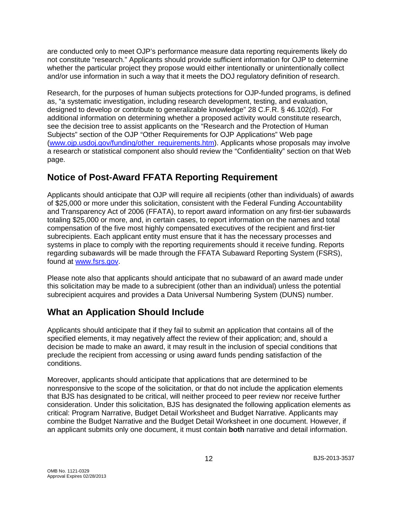are conducted only to meet OJP's performance measure data reporting requirements likely do not constitute "research." Applicants should provide sufficient information for OJP to determine whether the particular project they propose would either intentionally or unintentionally collect and/or use information in such a way that it meets the DOJ regulatory definition of research.

Research, for the purposes of human subjects protections for OJP-funded programs, is defined as, "a systematic investigation, including research development, testing, and evaluation, designed to develop or contribute to generalizable knowledge" 28 C.F.R. § 46.102(d). For additional information on determining whether a proposed activity would constitute research, see the decision tree to assist applicants on the "Research and the Protection of Human Subjects" section of the OJP "Other Requirements for OJP Applications" Web page [\(www.ojp.usdoj.gov/funding/other\\_requirements.htm\)](http://www.ojp.usdoj.gov/funding/other_requirements.htm). Applicants whose proposals may involve a research or statistical component also should review the "Confidentiality" section on that Web page.

# <span id="page-11-0"></span>**Notice of Post-Award FFATA Reporting Requirement**

Applicants should anticipate that OJP will require all recipients (other than individuals) of awards of \$25,000 or more under this solicitation, consistent with the Federal Funding Accountability and Transparency Act of 2006 (FFATA), to report award information on any first-tier subawards totaling \$25,000 or more, and, in certain cases, to report information on the names and total compensation of the five most highly compensated executives of the recipient and first-tier subrecipients. Each applicant entity must ensure that it has the necessary processes and systems in place to comply with the reporting requirements should it receive funding. Reports regarding subawards will be made through the FFATA Subaward Reporting System (FSRS), found at [www.fsrs.gov.](http://www.fsrs.gov/)

Please note also that applicants should anticipate that no subaward of an award made under this solicitation may be made to a subrecipient (other than an individual) unless the potential subrecipient acquires and provides a Data Universal Numbering System (DUNS) number.

# <span id="page-11-1"></span>**What an Application Should Include**

Applicants should anticipate that if they fail to submit an application that contains all of the specified elements, it may negatively affect the review of their application; and, should a decision be made to make an award, it may result in the inclusion of special conditions that preclude the recipient from accessing or using award funds pending satisfaction of the conditions.

Moreover, applicants should anticipate that applications that are determined to be nonresponsive to the scope of the solicitation, or that do not include the application elements that BJS has designated to be critical, will neither proceed to peer review nor receive further consideration. Under this solicitation, BJS has designated the following application elements as critical: Program Narrative, Budget Detail Worksheet and Budget Narrative. Applicants may combine the Budget Narrative and the Budget Detail Worksheet in one document. However, if an applicant submits only one document, it must contain **both** narrative and detail information.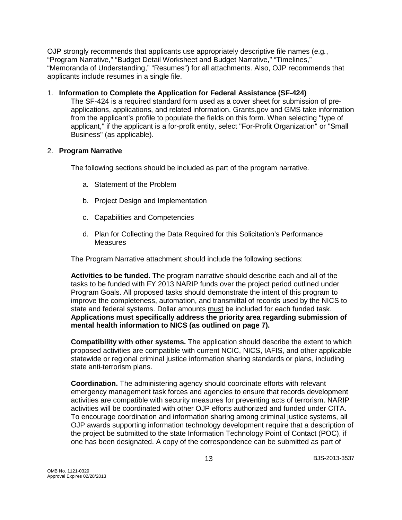OJP strongly recommends that applicants use appropriately descriptive file names (e.g*.*, "Program Narrative," "Budget Detail Worksheet and Budget Narrative," "Timelines," "Memoranda of Understanding," "Resumes") for all attachments. Also, OJP recommends that applicants include resumes in a single file.

#### <span id="page-12-0"></span>1. **Information to Complete the Application for Federal Assistance (SF-424)**

The SF-424 is a required standard form used as a cover sheet for submission of preapplications, applications, and related information. Grants.gov and GMS take information from the applicant's profile to populate the fields on this form. When selecting "type of applicant," if the applicant is a for-profit entity, select "For-Profit Organization" or "Small Business" (as applicable).

#### 2. **Program Narrative**

The following sections should be included as part of the program narrative.

- <span id="page-12-1"></span>a. Statement of the Problem
- b. Project Design and Implementation
- c. Capabilities and Competencies
- d. Plan for Collecting the Data Required for this Solicitation's Performance **Measures**

The Program Narrative attachment should include the following sections:

**Activities to be funded.** The program narrative should describe each and all of the tasks to be funded with FY 2013 NARIP funds over the project period outlined under Program Goals. All proposed tasks should demonstrate the intent of this program to improve the completeness, automation, and transmittal of records used by the NICS to state and federal systems. Dollar amounts must be included for each funded task. **Applications must specifically address the priority area regarding submission of mental health information to NICS (as outlined on page 7).**

**Compatibility with other systems.** The application should describe the extent to which proposed activities are compatible with current NCIC, NICS, IAFIS, and other applicable statewide or regional criminal justice information sharing standards or plans, including state anti-terrorism plans.

**Coordination.** The administering agency should coordinate efforts with relevant emergency management task forces and agencies to ensure that records development activities are compatible with security measures for preventing acts of terrorism. NARIP activities will be coordinated with other OJP efforts authorized and funded under CITA. To encourage coordination and information sharing among criminal justice systems, all OJP awards supporting information technology development require that a description of the project be submitted to the state Information Technology Point of Contact (POC), if one has been designated. A copy of the correspondence can be submitted as part of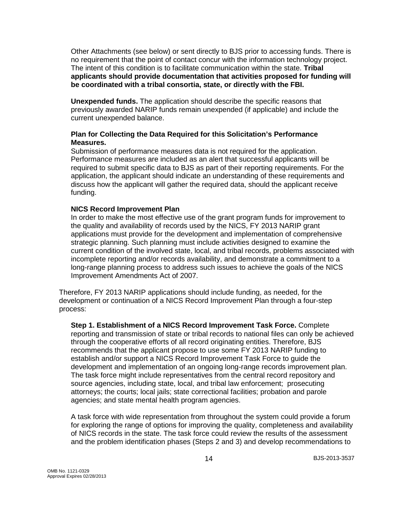Other Attachments (see below) or sent directly to BJS prior to accessing funds. There is no requirement that the point of contact concur with the information technology project. The intent of this condition is to facilitate communication within the state. **Tribal applicants should provide documentation that activities proposed for funding will be coordinated with a tribal consortia, state, or directly with the FBI.** 

**Unexpended funds.** The application should describe the specific reasons that previously awarded NARIP funds remain unexpended (if applicable) and include the current unexpended balance.

#### **Plan for Collecting the Data Required for this Solicitation's Performance Measures.**

Submission of performance measures data is not required for the application. Performance measures are included as an alert that successful applicants will be required to submit specific data to BJS as part of their reporting requirements. For the application, the applicant should indicate an understanding of these requirements and discuss how the applicant will gather the required data, should the applicant receive funding.

#### **NICS Record Improvement Plan**

In order to make the most effective use of the grant program funds for improvement to the quality and availability of records used by the NICS, FY 2013 NARIP grant applications must provide for the development and implementation of comprehensive strategic planning. Such planning must include activities designed to examine the current condition of the involved state, local, and tribal records, problems associated with incomplete reporting and/or records availability, and demonstrate a commitment to a long-range planning process to address such issues to achieve the goals of the NICS Improvement Amendments Act of 2007.

Therefore, FY 2013 NARIP applications should include funding, as needed, for the development or continuation of a NICS Record Improvement Plan through a four-step process:

**Step 1. Establishment of a NICS Record Improvement Task Force.** Complete reporting and transmission of state or tribal records to national files can only be achieved through the cooperative efforts of all record originating entities. Therefore, BJS recommends that the applicant propose to use some FY 2013 NARIP funding to establish and/or support a NICS Record Improvement Task Force to guide the development and implementation of an ongoing long-range records improvement plan. The task force might include representatives from the central record repository and source agencies, including state, local, and tribal law enforcement; prosecuting attorneys; the courts; local jails; state correctional facilities; probation and parole agencies; and state mental health program agencies.

A task force with wide representation from throughout the system could provide a forum for exploring the range of options for improving the quality, completeness and availability of NICS records in the state. The task force could review the results of the assessment and the problem identification phases (Steps 2 and 3) and develop recommendations to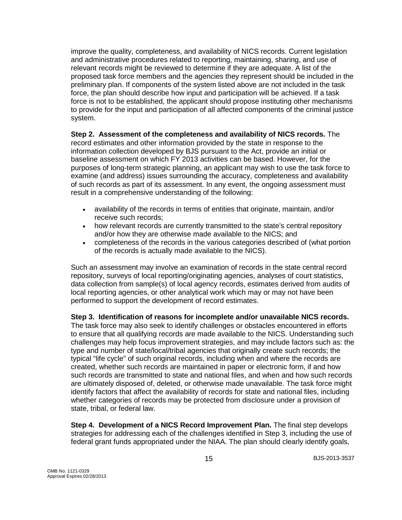improve the quality, completeness, and availability of NICS records. Current legislation and administrative procedures related to reporting, maintaining, sharing, and use of relevant records might be reviewed to determine if they are adequate. A list of the proposed task force members and the agencies they represent should be included in the preliminary plan. If components of the system listed above are not included in the task force, the plan should describe how input and participation will be achieved. If a task force is not to be established, the applicant should propose instituting other mechanisms to provide for the input and participation of all affected components of the criminal justice system.

**Step 2. Assessment of the completeness and availability of NICS records.** The record estimates and other information provided by the state in response to the information collection developed by BJS pursuant to the Act, provide an initial or baseline assessment on which FY 2013 activities can be based. However, for the purposes of long-term strategic planning, an applicant may wish to use the task force to examine (and address) issues surrounding the accuracy, completeness and availability of such records as part of its assessment. In any event, the ongoing assessment must result in a comprehensive understanding of the following:

- availability of the records in terms of entities that originate, maintain, and/or receive such records;
- how relevant records are currently transmitted to the state's central repository and/or how they are otherwise made available to the NICS; and
- completeness of the records in the various categories described of (what portion of the records is actually made available to the NICS).

Such an assessment may involve an examination of records in the state central record repository, surveys of local reporting/originating agencies, analyses of court statistics, data collection from sample(s) of local agency records, estimates derived from audits of local reporting agencies, or other analytical work which may or may not have been performed to support the development of record estimates.

**Step 3. Identification of reasons for incomplete and/or unavailable NICS records.**  The task force may also seek to identify challenges or obstacles encountered in efforts to ensure that all qualifying records are made available to the NICS. Understanding such challenges may help focus improvement strategies, and may include factors such as: the type and number of state/local/tribal agencies that originally create such records; the typical "life cycle" of such original records, including when and where the records are created, whether such records are maintained in paper or electronic form, if and how such records are transmitted to state and national files, and when and how such records are ultimately disposed of, deleted, or otherwise made unavailable. The task force might identify factors that affect the availability of records for state and national files, including whether categories of records may be protected from disclosure under a provision of state, tribal, or federal law.

**Step 4. Development of a NICS Record Improvement Plan.** The final step develops strategies for addressing each of the challenges identified in Step 3, including the use of federal grant funds appropriated under the NIAA. The plan should clearly identify goals,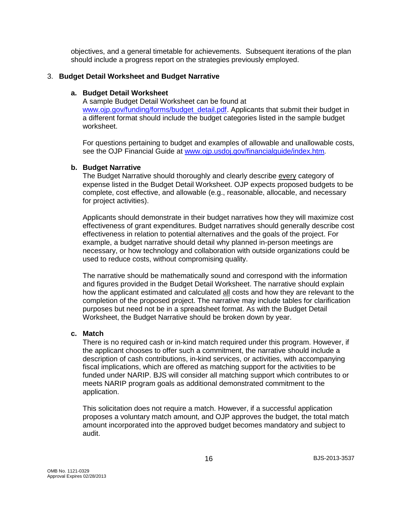objectives, and a general timetable for achievements. Subsequent iterations of the plan should include a progress report on the strategies previously employed.

#### <span id="page-15-0"></span>3. **Budget Detail Worksheet and Budget Narrative**

#### **a. Budget Detail Worksheet**

A sample Budget Detail Worksheet can be found at [www.ojp.gov/funding/forms/budget\\_detail.pdf.](http://www.ojp.gov/funding/forms/budget_detail.pdf) Applicants that submit their budget in a different format should include the budget categories listed in the sample budget worksheet.

For questions pertaining to budget and examples of allowable and unallowable costs, see the OJP Financial Guide at [www.ojp.usdoj.gov/financialguide/index.htm](http://www.ojp.usdoj.gov/financialguide/index.htm)*.*

#### **b. Budget Narrative**

The Budget Narrative should thoroughly and clearly describe every category of expense listed in the Budget Detail Worksheet. OJP expects proposed budgets to be complete, cost effective, and allowable (e.g., reasonable, allocable, and necessary for project activities).

Applicants should demonstrate in their budget narratives how they will maximize cost effectiveness of grant expenditures. Budget narratives should generally describe cost effectiveness in relation to potential alternatives and the goals of the project. For example, a budget narrative should detail why planned in-person meetings are necessary, or how technology and collaboration with outside organizations could be used to reduce costs, without compromising quality.

The narrative should be mathematically sound and correspond with the information and figures provided in the Budget Detail Worksheet. The narrative should explain how the applicant estimated and calculated all costs and how they are relevant to the completion of the proposed project. The narrative may include tables for clarification purposes but need not be in a spreadsheet format. As with the Budget Detail Worksheet, the Budget Narrative should be broken down by year.

#### **c. Match**

There is no required cash or in-kind match required under this program. However, if the applicant chooses to offer such a commitment, the narrative should include a description of cash contributions, in-kind services, or activities, with accompanying fiscal implications, which are offered as matching support for the activities to be funded under NARIP. BJS will consider all matching support which contributes to or meets NARIP program goals as additional demonstrated commitment to the application.

This solicitation does not require a match. However, if a successful application proposes a voluntary match amount, and OJP approves the budget, the total match amount incorporated into the approved budget becomes mandatory and subject to audit.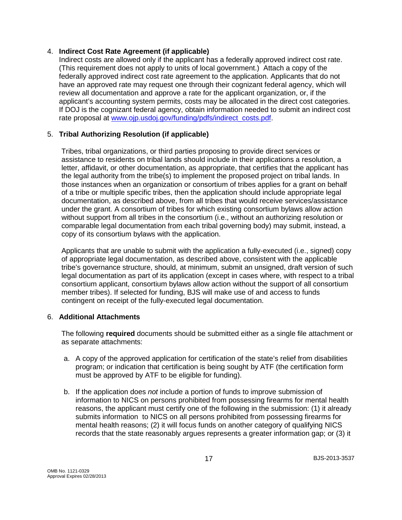#### <span id="page-16-0"></span>4. **Indirect Cost Rate Agreement (if applicable)**

Indirect costs are allowed only if the applicant has a federally approved indirect cost rate. (This requirement does not apply to units of local government.) Attach a copy of the federally approved indirect cost rate agreement to the application. Applicants that do not have an approved rate may request one through their cognizant federal agency, which will review all documentation and approve a rate for the applicant organization, or, if the applicant's accounting system permits, costs may be allocated in the direct cost categories. If DOJ is the cognizant federal agency, obtain information needed to submit an indirect cost rate proposal at [www.ojp.usdoj.gov/funding/pdfs/indirect\\_costs.pdf.](http://www.ojp.usdoj.gov/funding/pdfs/indirect_costs.pdf)

### <span id="page-16-1"></span>5. **Tribal Authorizing Resolution (if applicable)**

Tribes, tribal organizations, or third parties proposing to provide direct services or assistance to residents on tribal lands should include in their applications a resolution, a letter, affidavit, or other documentation, as appropriate, that certifies that the applicant has the legal authority from the tribe(s) to implement the proposed project on tribal lands. In those instances when an organization or consortium of tribes applies for a grant on behalf of a tribe or multiple specific tribes, then the application should include appropriate legal documentation, as described above, from all tribes that would receive services/assistance under the grant. A consortium of tribes for which existing consortium bylaws allow action without support from all tribes in the consortium (i.e., without an authorizing resolution or comparable legal documentation from each tribal governing body) may submit, instead, a copy of its consortium bylaws with the application.

Applicants that are unable to submit with the application a fully-executed (i.e., signed) copy of appropriate legal documentation, as described above, consistent with the applicable tribe's governance structure, should, at minimum, submit an unsigned, draft version of such legal documentation as part of its application (except in cases where, with respect to a tribal consortium applicant, consortium bylaws allow action without the support of all consortium member tribes). If selected for funding, BJS will make use of and access to funds contingent on receipt of the fully-executed legal documentation.

#### 6. **Additional Attachments**

The following **required** documents should be submitted either as a single file attachment or as separate attachments:

- a. A copy of the approved application for certification of the state's relief from disabilities program; or indication that certification is being sought by ATF (the certification form must be approved by ATF to be eligible for funding).
- b. If the application does *not* include a portion of funds to improve submission of information to NICS on persons prohibited from possessing firearms for mental health reasons, the applicant must certify one of the following in the submission: (1) it already submits information to NICS on all persons prohibited from possessing firearms for mental health reasons; (2) it will focus funds on another category of qualifying NICS records that the state reasonably argues represents a greater information gap; or (3) it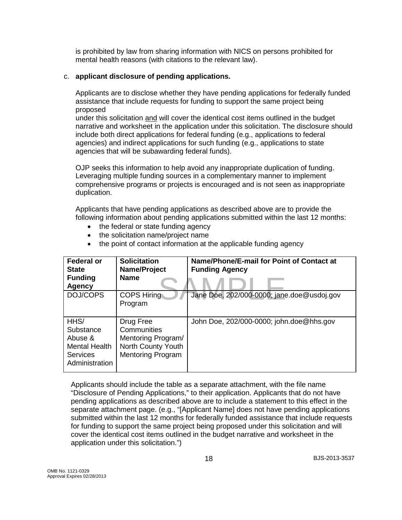is prohibited by law from sharing information with NICS on persons prohibited for mental health reasons (with citations to the relevant law).

#### c. **applicant disclosure of pending applications.**

Applicants are to disclose whether they have pending applications for federally funded assistance that include requests for funding to support the same project being proposed

under this solicitation and will cover the identical cost items outlined in the budget narrative and worksheet in the application under this solicitation. The disclosure should include both direct applications for federal funding (e.g., applications to federal agencies) and indirect applications for such funding (e.g., applications to state agencies that will be subawarding federal funds).

OJP seeks this information to help avoid any inappropriate duplication of funding. Leveraging multiple funding sources in a complementary manner to implement comprehensive programs or projects is encouraged and is not seen as inappropriate duplication.

Applicants that have pending applications as described above are to provide the following information about pending applications submitted within the last 12 months:

- the federal or state funding agency
- the solicitation name/project name
- the point of contact information at the applicable funding agency

| <b>Federal or</b><br><b>State</b><br><b>Funding</b><br>Agency                      | <b>Solicitation</b><br>Name/Project<br><b>Name</b>                                               | Name/Phone/E-mail for Point of Contact at<br><b>Funding Agency</b> |
|------------------------------------------------------------------------------------|--------------------------------------------------------------------------------------------------|--------------------------------------------------------------------|
| DOJ/COPS                                                                           | <b>COPS Hiring</b><br>Program                                                                    | Jane Doe, 202/000-0000; jane.doe@usdoj.gov                         |
| HHS/<br>Substance<br>Abuse &<br>Mental Health<br><b>Services</b><br>Administration | Drug Free<br>Communities<br>Mentoring Program/<br>North County Youth<br><b>Mentoring Program</b> | John Doe, 202/000-0000; john.doe@hhs.gov                           |

Applicants should include the table as a separate attachment, with the file name "Disclosure of Pending Applications," to their application. Applicants that do not have pending applications as described above are to include a statement to this effect in the separate attachment page. (e.g., "[Applicant Name] does not have pending applications submitted within the last 12 months for federally funded assistance that include requests for funding to support the same project being proposed under this solicitation and will cover the identical cost items outlined in the budget narrative and worksheet in the application under this solicitation.")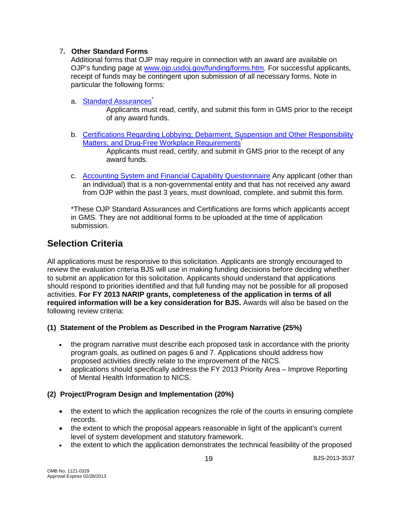### <span id="page-18-0"></span>7**. Other Standard Forms**

Additional forms that OJP may require in connection with an award are available on OJP's funding page at [www.ojp.usdoj.gov/funding/forms.htm.](http://www.ojp.usdoj.gov/funding/forms.htm) For successful applicants, receipt of funds may be contingent upon submission of all necessary forms. Note in particular the following forms:

a. [Standard Assurances](http://www.ojp.usdoj.gov/funding/forms/std_assurances.pdf)<sup>\*</sup>

Applicants must read, certify, and submit this form in GMS prior to the receipt of any award funds.

- b. [Certifications Regarding Lobbying; Debarment, Suspension and Other Responsibility](http://www.ojp.usdoj.gov/funding/forms/certifications.pdf)  [Matters; and Drug-Free Workplace Requirements](http://www.ojp.usdoj.gov/funding/forms/certifications.pdf)<sup>\*</sup> Applicants must read, certify, and submit in GMS prior to the receipt of any award funds.
- c. [Accounting System and Financial Capability Questionnaire](http://www.ojp.usdoj.gov/funding/forms/financial_capability.pdf) Any applicant (other than an individual) that is a non-governmental entity and that has not received any award from OJP within the past 3 years, must download, complete, and submit this form.

\*These OJP Standard Assurances and Certifications are forms which applicants accept in GMS. They are not additional forms to be uploaded at the time of application submission.

# **Selection Criteria**

All applications must be responsive to this solicitation. Applicants are strongly encouraged to review the evaluation criteria BJS will use in making funding decisions before deciding whether to submit an application for this solicitation. Applicants should understand that applications should respond to priorities identified and that full funding may not be possible for all proposed activities. **For FY 2013 NARIP grants, completeness of the application in terms of all required information will be a key consideration for BJS.** Awards will also be based on the following review criteria:

### **(1) Statement of the Problem as Described in the Program Narrative (25%)**

- the program narrative must describe each proposed task in accordance with the priority program goals, as outlined on pages 6 and 7. Applications should address how proposed activities directly relate to the improvement of the NICS.
- applications should specifically address the FY 2013 Priority Area Improve Reporting of Mental Health Information to NICS.

### **(2) Project/Program Design and Implementation (20%)**

- the extent to which the application recognizes the role of the courts in ensuring complete records.
- the extent to which the proposal appears reasonable in light of the applicant's current level of system development and statutory framework.
- the extent to which the application demonstrates the technical feasibility of the proposed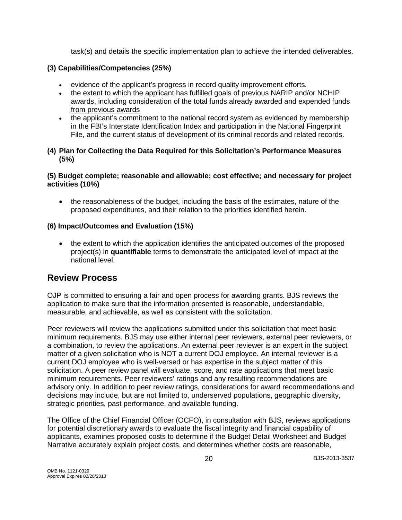task(s) and details the specific implementation plan to achieve the intended deliverables.

### **(3) Capabilities/Competencies (25%)**

- evidence of the applicant's progress in record quality improvement efforts.
- the extent to which the applicant has fulfilled goals of previous NARIP and/or NCHIP awards, including consideration of the total funds already awarded and expended funds from previous awards
- the applicant's commitment to the national record system as evidenced by membership in the FBI's Interstate Identification Index and participation in the National Fingerprint File, and the current status of development of its criminal records and related records.

### **(4) Plan for Collecting the Data Required for this Solicitation's Performance Measures (5%)**

### **(5) Budget complete; reasonable and allowable; cost effective; and necessary for project activities (10%)**

• the reasonableness of the budget, including the basis of the estimates, nature of the proposed expenditures, and their relation to the priorities identified herein.

### **(6) Impact/Outcomes and Evaluation (15%)**

• the extent to which the application identifies the anticipated outcomes of the proposed project(s) in **quantifiable** terms to demonstrate the anticipated level of impact at the national level.

# <span id="page-19-0"></span>**Review Process**

OJP is committed to ensuring a fair and open process for awarding grants. BJS reviews the application to make sure that the information presented is reasonable, understandable, measurable, and achievable, as well as consistent with the solicitation.

Peer reviewers will review the applications submitted under this solicitation that meet basic minimum requirements. BJS may use either internal peer reviewers, external peer reviewers, or a combination, to review the applications. An external peer reviewer is an expert in the subject matter of a given solicitation who is NOT a current DOJ employee. An internal reviewer is a current DOJ employee who is well-versed or has expertise in the subject matter of this solicitation. A peer review panel will evaluate, score, and rate applications that meet basic minimum requirements. Peer reviewers' ratings and any resulting recommendations are advisory only. In addition to peer review ratings, considerations for award recommendations and decisions may include, but are not limited to, underserved populations, geographic diversity, strategic priorities, past performance, and available funding.

The Office of the Chief Financial Officer (OCFO), in consultation with BJS, reviews applications for potential discretionary awards to evaluate the fiscal integrity and financial capability of applicants, examines proposed costs to determine if the Budget Detail Worksheet and Budget Narrative accurately explain project costs, and determines whether costs are reasonable,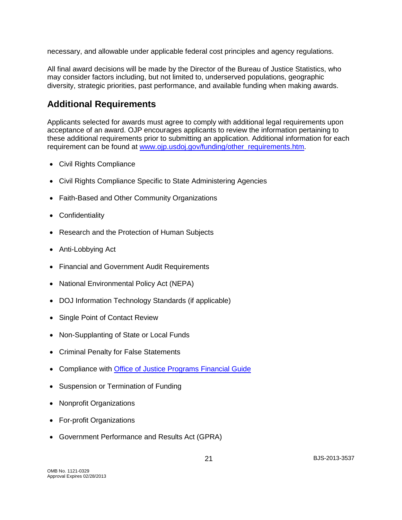necessary, and allowable under applicable federal cost principles and agency regulations.

All final award decisions will be made by the Director of the Bureau of Justice Statistics, who may consider factors including, but not limited to, underserved populations, geographic diversity, strategic priorities, past performance, and available funding when making awards.

# <span id="page-20-0"></span>**Additional Requirements**

Applicants selected for awards must agree to comply with additional legal requirements upon acceptance of an award. OJP encourages applicants to review the information pertaining to these additional requirements prior to submitting an application. Additional information for each requirement can be found at [www.ojp.usdoj.gov/funding/other\\_requirements.htm.](http://www.ojp.usdoj.gov/funding/other_requirements.htm)

- [Civil Rights Compliance](http://www.ojp.usdoj.gov/about/ocr/statutes.htm)
- Civil Rights Compliance Specific to State Administering Agencies
- Faith-Based and Other Community Organizations
- Confidentiality
- Research and the Protection of Human Subjects
- Anti-Lobbying Act
- Financial and Government Audit Requirements
- National Environmental Policy Act (NEPA)
- DOJ Information Technology Standards (if applicable)
- Single Point of Contact Review
- Non-Supplanting of State or Local Funds
- Criminal Penalty for False Statements
- Compliance with [Office of Justice Programs Financial Guide](http://www.ojp.usdoj.gov/financialguide/index.htm)
- Suspension or Termination of Funding
- Nonprofit Organizations
- For-profit Organizations
- Government Performance and Results Act (GPRA)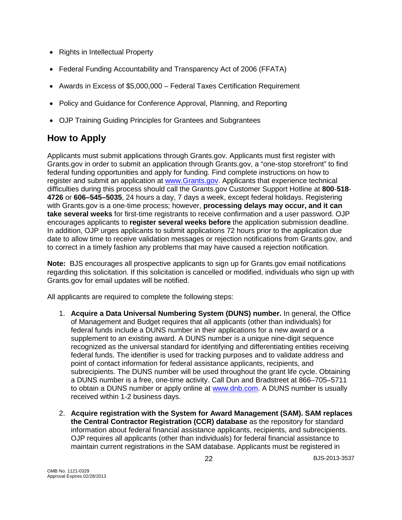- Rights in Intellectual Property
- Federal Funding Accountability and Transparency Act of 2006 (FFATA)
- Awards in Excess of \$5,000,000 Federal Taxes Certification Requirement
- Policy and Guidance for Conference Approval, Planning, and Reporting
- OJP Training Guiding Principles for Grantees and Subgrantees

# <span id="page-21-0"></span>**How to Apply**

Applicants must submit applications through Grants.gov. Applicants must first register with Grants.gov in order to submit an application through Grants.gov, a "one-stop storefront" to find federal funding opportunities and apply for funding. Find complete instructions on how to register and submit an application at [www.Grants.gov.](http://www.grants.gov/) Applicants that experience technical difficulties during this process should call the Grants.gov Customer Support Hotline at **800**-**518**- **4726** or **606–545–5035**, 24 hours a day, 7 days a week, except federal holidays. Registering with Grants.gov is a one-time process; however, **processing delays may occur, and it can take several weeks** for first-time registrants to receive confirmation and a user password. OJP encourages applicants to **register several weeks before** the application submission deadline. In addition, OJP urges applicants to submit applications 72 hours prior to the application due date to allow time to receive validation messages or rejection notifications from Grants.gov, and to correct in a timely fashion any problems that may have caused a rejection notification.

**Note:** BJS encourages all prospective applicants to sign up for Grants.gov email notifications regarding this solicitation. If this solicitation is cancelled or modified, individuals who sign up with Grants.gov for email updates will be notified.

All applicants are required to complete the following steps:

- 1. **Acquire a Data Universal Numbering System (DUNS) number.** In general, the Office of Management and Budget requires that all applicants (other than individuals) for federal funds include a DUNS number in their applications for a new award or a supplement to an existing award. A DUNS number is a unique nine-digit sequence recognized as the universal standard for identifying and differentiating entities receiving federal funds. The identifier is used for tracking purposes and to validate address and point of contact information for federal assistance applicants, recipients, and subrecipients. The DUNS number will be used throughout the grant life cycle. Obtaining a DUNS number is a free, one-time activity. Call Dun and Bradstreet at 866–705–5711 to obtain a DUNS number or apply online at [www.dnb.com.](http://www.dnb.com/) A DUNS number is usually received within 1-2 business days.
- 2. **Acquire registration with the System for Award Management (SAM). SAM replaces the Central Contractor Registration (CCR) database** as the repository for standard information about federal financial assistance applicants, recipients, and subrecipients. OJP requires all applicants (other than individuals) for federal financial assistance to maintain current registrations in the SAM database. Applicants must be registered in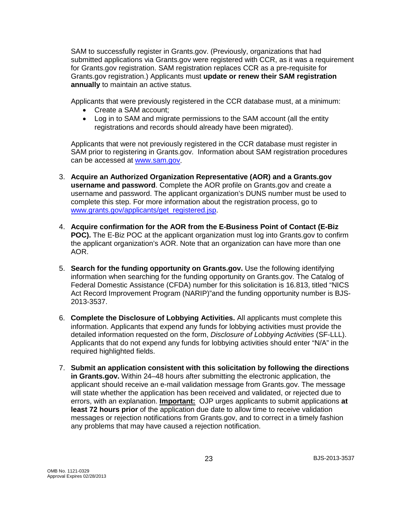SAM to successfully register in Grants.gov. (Previously, organizations that had submitted applications via Grants.gov were registered with CCR, as it was a requirement for Grants.gov registration. SAM registration replaces CCR as a pre-requisite for Grants.gov registration.) Applicants must **update or renew their SAM registration annually** to maintain an active status.

Applicants that were previously registered in the CCR database must, at a minimum:

- Create a SAM account;
- Log in to SAM and migrate permissions to the SAM account (all the entity registrations and records should already have been migrated).

Applicants that were not previously registered in the CCR database must register in SAM prior to registering in Grants.gov. Information about SAM registration procedures can be accessed at [www.sam.gov.](https://www.sam.gov/portal/public/SAM/?portal:componentId=1f834b82-3fed-4eb3-a1f8-ea1f226a7955&portal:type=action&interactionstate=JBPNS_rO0ABXc0ABBfanNmQnJpZGdlVmlld0lkAAAAAQATL2pzZi9uYXZpZ2F0aW9uLmpzcAAHX19FT0ZfXw**)

- 3. **Acquire an Authorized Organization Representative (AOR) and a Grants.gov username and password**. Complete the AOR profile on Grants.gov and create a username and password. The applicant organization's DUNS number must be used to complete this step. For more information about the registration process, go to [www.grants.gov/applicants/get\\_registered.jsp.](http://www.grants.gov/applicants/get_registered.jsp)
- 4. **Acquire confirmation for the AOR from the E-Business Point of Contact (E-Biz POC).** The E-Biz POC at the applicant organization must log into Grants.gov to confirm the applicant organization's AOR. Note that an organization can have more than one AOR.
- 5. **Search for the funding opportunity on Grants.gov.** Use the following identifying information when searching for the funding opportunity on Grants.gov. The Catalog of Federal Domestic Assistance (CFDA) number for this solicitation is 16.813, titled "NICS Act Record Improvement Program (NARIP)"and the funding opportunity number is BJS-2013-3537.
- 6. **Complete the Disclosure of Lobbying Activities.** All applicants must complete this information. Applicants that expend any funds for lobbying activities must provide the detailed information requested on the form, *Disclosure of Lobbying Activities* (SF-LLL). Applicants that do not expend any funds for lobbying activities should enter "N/A" in the required highlighted fields.
- 7. **Submit an application consistent with this solicitation by following the directions in Grants.gov.** Within 24–48 hours after submitting the electronic application, the applicant should receive an e-mail validation message from Grants.gov. The message will state whether the application has been received and validated, or rejected due to errors, with an explanation. **Important:** OJP urges applicants to submit applications **at least 72 hours prior** of the application due date to allow time to receive validation messages or rejection notifications from Grants.gov, and to correct in a timely fashion any problems that may have caused a rejection notification.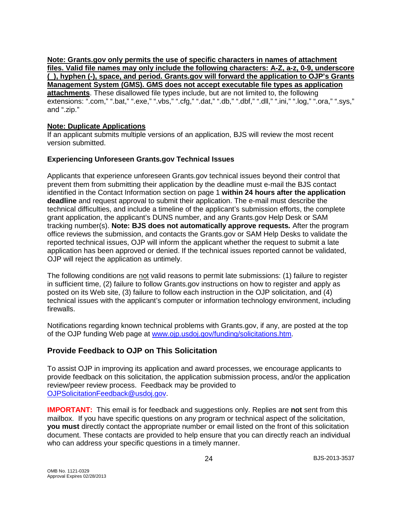**Note: Grants.gov only permits the use of specific characters in names of attachment files. Valid file names may only include the following characters: A-Z, a-z, 0-9, underscore (\_), hyphen (-), space, and period. Grants.gov will forward the application to OJP's Grants Management System (GMS). GMS does not accept executable file types as application attachments**. These disallowed file types include, but are not limited to, the following extensions: ".com," ".bat," ".exe," ".vbs," ".cfg," ".dat," ".db," ".dbf," ".dll," ".ini," ".log," ".ora," ".sys," and ".zip."

#### **Note: Duplicate Applications**

If an applicant submits multiple versions of an application, BJS will review the most recent version submitted.

#### **Experiencing Unforeseen Grants.gov Technical Issues**

Applicants that experience unforeseen Grants.gov technical issues beyond their control that prevent them from submitting their application by the deadline must e-mail the BJS contact identified in the Contact Information section on page 1 **within 24 hours after the application deadline** and request approval to submit their application. The e-mail must describe the technical difficulties, and include a timeline of the applicant's submission efforts, the complete grant application, the applicant's DUNS number, and any Grants.gov Help Desk or SAM tracking number(s). **Note: BJS does not automatically approve requests***.* After the program office reviews the submission, and contacts the Grants.gov or SAM Help Desks to validate the reported technical issues, OJP will inform the applicant whether the request to submit a late application has been approved or denied. If the technical issues reported cannot be validated, OJP will reject the application as untimely.

The following conditions are not valid reasons to permit late submissions: (1) failure to register in sufficient time, (2) failure to follow Grants.gov instructions on how to register and apply as posted on its Web site, (3) failure to follow each instruction in the OJP solicitation, and (4) technical issues with the applicant's computer or information technology environment, including firewalls.

Notifications regarding known technical problems with Grants.gov, if any, are posted at the top of the OJP funding Web page at [www.ojp.usdoj.gov/funding/solicitations.htm.](http://www.ojp.gov/funding/solicitations.htm)

### <span id="page-23-0"></span>**Provide Feedback to OJP on This Solicitation**

To assist OJP in improving its application and award processes, we encourage applicants to provide feedback on this solicitation, the application submission process, and/or the application review/peer review process. Feedback may be provided to [OJPSolicitationFeedback@usdoj.gov.](mailto:OJPSolicitationFeedback@usdoj.gov)

**IMPORTANT:** This email is for feedback and suggestions only. Replies are **not** sent from this mailbox. If you have specific questions on any program or technical aspect of the solicitation, **you must** directly contact the appropriate number or email listed on the front of this solicitation document. These contacts are provided to help ensure that you can directly reach an individual who can address your specific questions in a timely manner.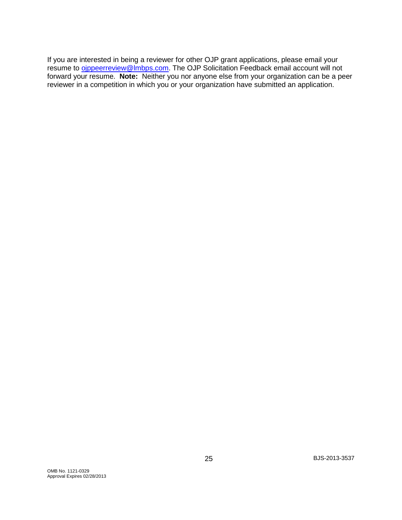If you are interested in being a reviewer for other OJP grant applications, please email your resume to oppeerreview@lmbps.com. The OJP Solicitation Feedback email account will not forward your resume. **Note:** Neither you nor anyone else from your organization can be a peer reviewer in a competition in which you or your organization have submitted an application.